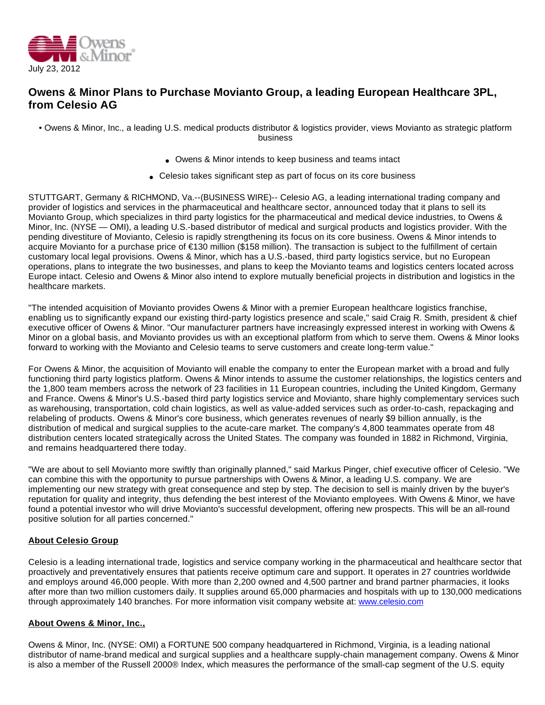

## **Owens & Minor Plans to Purchase Movianto Group, a leading European Healthcare 3PL, from Celesio AG**

• Owens & Minor, Inc., a leading U.S. medical products distributor & logistics provider, views Movianto as strategic platform business

- Owens & Minor intends to keep business and teams intact
- Celesio takes significant step as part of focus on its core business

STUTTGART, Germany & RICHMOND, Va.--(BUSINESS WIRE)-- Celesio AG, a leading international trading company and provider of logistics and services in the pharmaceutical and healthcare sector, announced today that it plans to sell its Movianto Group, which specializes in third party logistics for the pharmaceutical and medical device industries, to Owens & Minor, Inc. (NYSE — OMI), a leading U.S.-based distributor of medical and surgical products and logistics provider. With the pending divestiture of Movianto, Celesio is rapidly strengthening its focus on its core business. Owens & Minor intends to acquire Movianto for a purchase price of €130 million (\$158 million). The transaction is subject to the fulfillment of certain customary local legal provisions. Owens & Minor, which has a U.S.-based, third party logistics service, but no European operations, plans to integrate the two businesses, and plans to keep the Movianto teams and logistics centers located across Europe intact. Celesio and Owens & Minor also intend to explore mutually beneficial projects in distribution and logistics in the healthcare markets.

"The intended acquisition of Movianto provides Owens & Minor with a premier European healthcare logistics franchise, enabling us to significantly expand our existing third-party logistics presence and scale," said Craig R. Smith, president & chief executive officer of Owens & Minor. "Our manufacturer partners have increasingly expressed interest in working with Owens & Minor on a global basis, and Movianto provides us with an exceptional platform from which to serve them. Owens & Minor looks forward to working with the Movianto and Celesio teams to serve customers and create long-term value."

For Owens & Minor, the acquisition of Movianto will enable the company to enter the European market with a broad and fully functioning third party logistics platform. Owens & Minor intends to assume the customer relationships, the logistics centers and the 1,800 team members across the network of 23 facilities in 11 European countries, including the United Kingdom, Germany and France. Owens & Minor's U.S.-based third party logistics service and Movianto, share highly complementary services such as warehousing, transportation, cold chain logistics, as well as value-added services such as order-to-cash, repackaging and relabeling of products. Owens & Minor's core business, which generates revenues of nearly \$9 billion annually, is the distribution of medical and surgical supplies to the acute-care market. The company's 4,800 teammates operate from 48 distribution centers located strategically across the United States. The company was founded in 1882 in Richmond, Virginia, and remains headquartered there today.

"We are about to sell Movianto more swiftly than originally planned," said Markus Pinger, chief executive officer of Celesio. "We can combine this with the opportunity to pursue partnerships with Owens & Minor, a leading U.S. company. We are implementing our new strategy with great consequence and step by step. The decision to sell is mainly driven by the buyer's reputation for quality and integrity, thus defending the best interest of the Movianto employees. With Owens & Minor, we have found a potential investor who will drive Movianto's successful development, offering new prospects. This will be an all-round positive solution for all parties concerned."

## **About Celesio Group**

Celesio is a leading international trade, logistics and service company working in the pharmaceutical and healthcare sector that proactively and preventatively ensures that patients receive optimum care and support. It operates in 27 countries worldwide and employs around 46,000 people. With more than 2,200 owned and 4,500 partner and brand partner pharmacies, it looks after more than two million customers daily. It supplies around 65,000 pharmacies and hospitals with up to 130,000 medications through approximately 140 branches. For more information visit company website at: [www.celesio.com](http://cts.businesswire.com/ct/CT?id=smartlink&url=http%3A%2F%2Fwww.celesio.com&esheet=50351037&lan=en-US&anchor=www.celesio.com&index=1&md5=047ea499e3e638dcc16dc455cebd3e46)

## **About Owens & Minor, Inc.,**

Owens & Minor, Inc. (NYSE: OMI) a FORTUNE 500 company headquartered in Richmond, Virginia, is a leading national distributor of name-brand medical and surgical supplies and a healthcare supply-chain management company. Owens & Minor is also a member of the Russell 2000® Index, which measures the performance of the small-cap segment of the U.S. equity